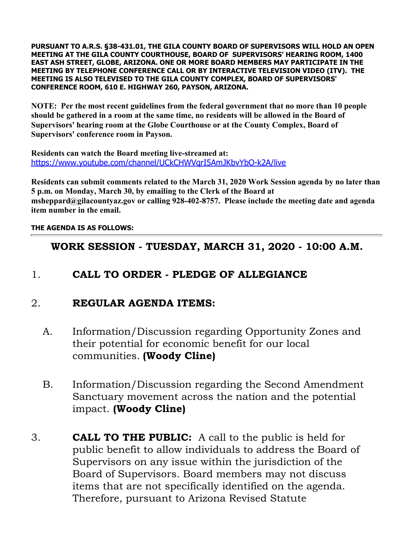**PURSUANT TO A.R.S. §38-431.01, THE GILA COUNTY BOARD OF SUPERVISORS WILL HOLD AN OPEN MEETING AT THE GILA COUNTY COURTHOUSE, BOARD OF SUPERVISORS' HEARING ROOM, 1400 EAST ASH STREET, GLOBE, ARIZONA. ONE OR MORE BOARD MEMBERS MAY PARTICIPATE IN THE MEETING BY TELEPHONE CONFERENCE CALL OR BY INTERACTIVE TELEVISION VIDEO (ITV). THE MEETING IS ALSO TELEVISED TO THE GILA COUNTY COMPLEX, BOARD OF SUPERVISORS' CONFERENCE ROOM, 610 E. HIGHWAY 260, PAYSON, ARIZONA.** 

**NOTE: Per the most recent guidelines from the federal government that no more than 10 people should be gathered in a room at the same time, no residents will be allowed in the Board of Supervisors' hearing room at the Globe Courthouse or at the County Complex, Board of Supervisors' conference room in Payson.**

**Residents can watch the Board meeting live-streamed at:**  <https://www.youtube.com/channel/UCkCHWVqrI5AmJKbvYbO-k2A/live>

**Residents can submit comments related to the March 31, 2020 Work Session agenda by no later than 5 p.m. on Monday, March 30, by emailing to the Clerk of the Board at msheppard@gilacountyaz.gov or calling 928-402-8757. Please include the meeting date and agenda item number in the email.** 

#### **THE AGENDA IS AS FOLLOWS:**

### **WORK SESSION - TUESDAY, MARCH 31, 2020 - 10:00 A.M.**

## 1. **CALL TO ORDER - PLEDGE OF ALLEGIANCE**

### 2. **REGULAR AGENDA ITEMS:**

- A. Information/Discussion regarding Opportunity Zones and their potential for economic benefit for our local communities. **(Woody Cline)**
- B. Information/Discussion regarding the Second Amendment Sanctuary movement across the nation and the potential impact. **(Woody Cline)**
- 3. **CALL TO THE PUBLIC:** A call to the public is held for public benefit to allow individuals to address the Board of Supervisors on any issue within the jurisdiction of the Board of Supervisors. Board members may not discuss items that are not specifically identified on the agenda. Therefore, pursuant to Arizona Revised Statute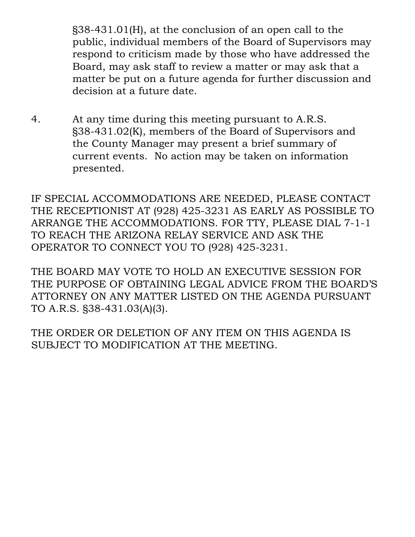§38-431.01(H), at the conclusion of an open call to the public, individual members of the Board of Supervisors may respond to criticism made by those who have addressed the Board, may ask staff to review a matter or may ask that a matter be put on a future agenda for further discussion and decision at a future date.

4. At any time during this meeting pursuant to A.R.S. §38-431.02(K), members of the Board of Supervisors and the County Manager may present a brief summary of current events. No action may be taken on information presented.

IF SPECIAL ACCOMMODATIONS ARE NEEDED, PLEASE CONTACT THE RECEPTIONIST AT (928) 425-3231 AS EARLY AS POSSIBLE TO ARRANGE THE ACCOMMODATIONS. FOR TTY, PLEASE DIAL 7-1-1 TO REACH THE ARIZONA RELAY SERVICE AND ASK THE OPERATOR TO CONNECT YOU TO (928) 425-3231.

THE BOARD MAY VOTE TO HOLD AN EXECUTIVE SESSION FOR THE PURPOSE OF OBTAINING LEGAL ADVICE FROM THE BOARD'S ATTORNEY ON ANY MATTER LISTED ON THE AGENDA PURSUANT TO A.R.S. §38-431.03(A)(3).

THE ORDER OR DELETION OF ANY ITEM ON THIS AGENDA IS SUBJECT TO MODIFICATION AT THE MEETING.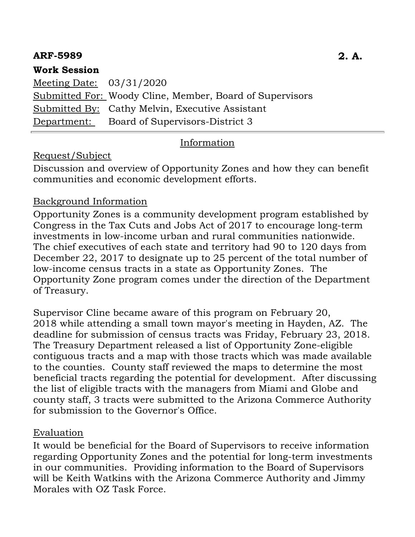### **ARF-5989 2. A.**

### **Work Session**

Meeting Date: 03/31/2020 Submitted For: Woody Cline, Member, Board of Supervisors Submitted By: Cathy Melvin, Executive Assistant Department: Board of Supervisors-District 3

### Information

### Request/Subject

Discussion and overview of Opportunity Zones and how they can benefit communities and economic development efforts.

#### Background Information

Opportunity Zones is a community development program established by Congress in the Tax Cuts and Jobs Act of 2017 to encourage long-term investments in low-income urban and rural communities nationwide. The chief executives of each state and territory had 90 to 120 days from December 22, 2017 to designate up to 25 percent of the total number of low-income census tracts in a state as Opportunity Zones. The Opportunity Zone program comes under the direction of the Department of Treasury.

Supervisor Cline became aware of this program on February 20, 2018 while attending a small town mayor's meeting in Hayden, AZ. The deadline for submission of census tracts was Friday, February 23, 2018. The Treasury Department released a list of Opportunity Zone-eligible contiguous tracts and a map with those tracts which was made available to the counties. County staff reviewed the maps to determine the most beneficial tracts regarding the potential for development. After discussing the list of eligible tracts with the managers from Miami and Globe and county staff, 3 tracts were submitted to the Arizona Commerce Authority for submission to the Governor's Office.

#### Evaluation

It would be beneficial for the Board of Supervisors to receive information regarding Opportunity Zones and the potential for long-term investments in our communities. Providing information to the Board of Supervisors will be Keith Watkins with the Arizona Commerce Authority and Jimmy Morales with OZ Task Force.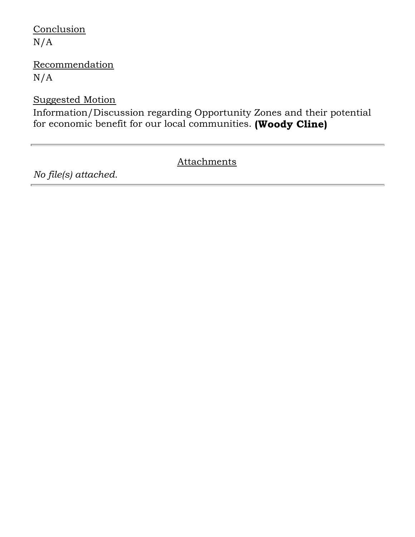# **Conclusion** N/A

## **Recommendation** N/A

### Suggested Motion

Information/Discussion regarding Opportunity Zones and their potential for economic benefit for our local communities. **(Woody Cline)**

## **Attachments**

*No file(s) attached.*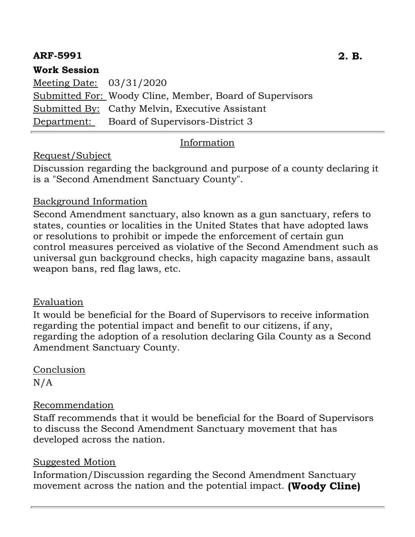## **ARF-5991 2. B.**

### **Work Session**

Meeting Date: 03/31/2020 Submitted For: Woody Cline, Member, Board of Supervisors Submitted By: Cathy Melvin, Executive Assistant Department: Board of Supervisors-District 3

## Information

## Request/Subject

Discussion regarding the background and purpose of a county declaring it is a "Second Amendment Sanctuary County".

### Background Information

Second Amendment sanctuary, also known as a gun sanctuary, refers to states, counties or localities in the United States that have adopted laws or resolutions to prohibit or impede the enforcement of certain gun control measures perceived as violative of the Second Amendment such as universal gun background checks, high capacity magazine bans, assault weapon bans, red flag laws, etc.

#### Evaluation

It would be beneficial for the Board of Supervisors to receive information regarding the potential impact and benefit to our citizens, if any, regarding the adoption of a resolution declaring Gila County as a Second Amendment Sanctuary County.

Conclusion N/A

#### Recommendation

Staff recommends that it would be beneficial for the Board of Supervisors to discuss the Second Amendment Sanctuary movement that has developed across the nation.

#### Suggested Motion

Information/Discussion regarding the Second Amendment Sanctuary movement across the nation and the potential impact. **(Woody Cline)**